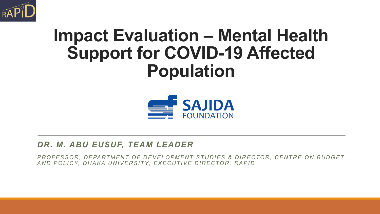

### **Impact Evaluation – Mental Health Support for COVID-19 Affected Population**



#### *DR. M. ABU EUSUF, TEAM LEADER*

PROFESSOR, DEPARTMENT OF DEVELOPMENT STUDIES & DIRECTOR, CENTRE ON BUDGET *AND POLICY, DHAKA UNIVERSITY; EXECUTIVE DIRECTOR, RAPID*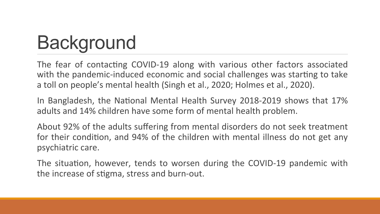# **Background**

The fear of contacting COVID-19 along with various other factors associated with the pandemic-induced economic and social challenges was starting to take a toll on people's mental health (Singh et al., 2020; Holmes et al., 2020).

In Bangladesh, the National Mental Health Survey 2018-2019 shows that 17% adults and 14% children have some form of mental health problem.

About 92% of the adults suffering from mental disorders do not seek treatment for their condition, and 94% of the children with mental illness do not get any psychiatric care.

The situation, however, tends to worsen during the COVID-19 pandemic with the increase of stigma, stress and burn-out.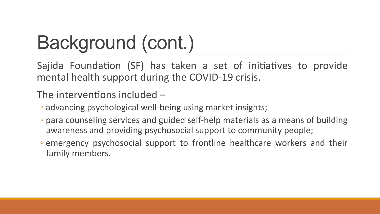# Background (cont.)

Sajida Foundation (SF) has taken a set of initiatives to provide mental health support during the COVID-19 crisis.

### The interventions included  $-$

- advancing psychological well-being using market insights;
- para counseling services and guided self-help materials as a means of building awareness and providing psychosocial support to community people;
- emergency psychosocial support to frontline healthcare workers and their family members.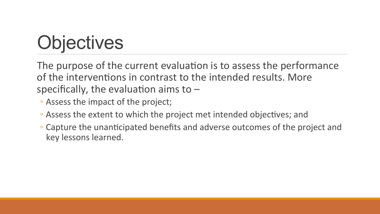# **Objectives**

The purpose of the current evaluation is to assess the performance of the interventions in contrast to the intended results. More specifically, the evaluation aims to  $-$ 

- Assess the impact of the project;
- Assess the extent to which the project met intended objectives; and
- Capture the unanticipated benefits and adverse outcomes of the project and key lessons learned.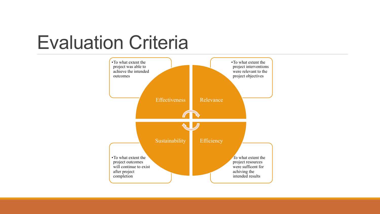### Evaluation Criteria

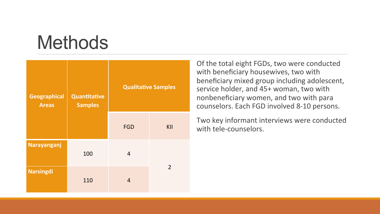### **Methods**

| <b>Geographical</b><br><b>Areas</b> | Quantitative<br><b>Samples</b> | <b>Qualitative Samples</b> |                |
|-------------------------------------|--------------------------------|----------------------------|----------------|
|                                     |                                | <b>FGD</b>                 | KII            |
| Narayanganj                         | 100                            | $\overline{4}$             |                |
| <b>Narsingdi</b>                    | 110                            | 4                          | $\overline{2}$ |

Of the total eight FGDs, two were conducted with beneficiary housewives, two with beneficiary mixed group including adolescent, service holder, and 45+ woman, two with nonbeneficiary women, and two with para counselors. Each FGD involved 8-10 persons.

Two key informant interviews were conducted with tele-counselors.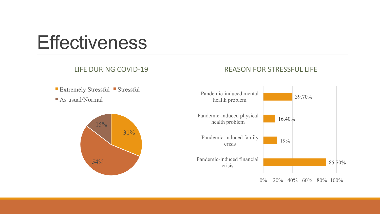### **Effectiveness**

#### LIFE DURING COVID-19

#### REASON FOR STRESSFUL LIFE



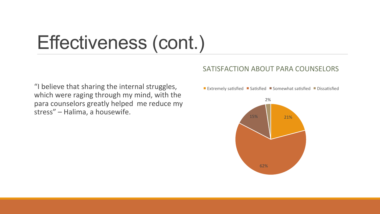### Effectiveness (cont.)

#### SATISFACTION ABOUT PARA COUNSELORS

"I believe that sharing the internal struggles, which were raging through my mind, with the para counselors greatly helped me reduce my stress" - Halima, a housewife.

Extremely satisfied  $\blacksquare$  Satisfied  $\blacksquare$  Somewhat satisfied  $\blacksquare$  Dissatisfied

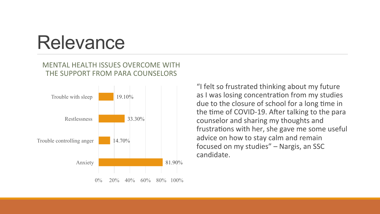### **Relevance**

#### MENTAL HEALTH ISSUES OVERCOME WITH THE SUPPORT FROM PARA COUNSELORS



"I felt so frustrated thinking about my future as I was losing concentration from my studies due to the closure of school for a long time in the time of COVID-19. After talking to the para counselor and sharing my thoughts and frustrations with her, she gave me some useful advice on how to stay calm and remain focused on my studies" - Nargis, an SSC candidate.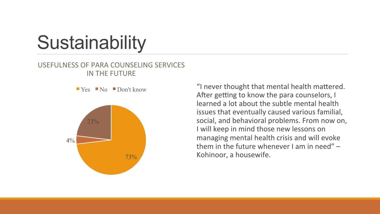## **Sustainability**

#### USEFULNESS OF PARA COUNSELING SERVICES IN THE FUTURE



 $\blacksquare$  Yes  $\blacksquare$  No  $\blacksquare$  Don't know "I never thought that mental health mattered. After getting to know the para counselors, I learned a lot about the subtle mental health issues that eventually caused various familial, social, and behavioral problems. From now on, I will keep in mind those new lessons on managing mental health crisis and will evoke them in the future whenever  $\lambda$  am in need"  $-$ Kohinoor, a housewife.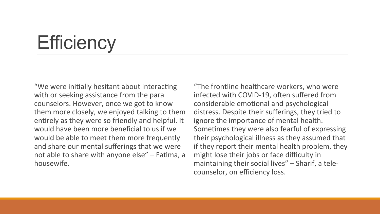# **Efficiency**

"We were initially hesitant about interacting with or seeking assistance from the para counselors. However, once we got to know them more closely, we enjoyed talking to them entirely as they were so friendly and helpful. It would have been more beneficial to us if we would be able to meet them more frequently and share our mental sufferings that we were not able to share with anyone else" – Fatima, a housewife. 

"The frontline healthcare workers, who were infected with COVID-19, often suffered from considerable emotional and psychological distress. Despite their sufferings, they tried to ignore the importance of mental health. Sometimes they were also fearful of expressing their psychological illness as they assumed that if they report their mental health problem, they might lose their jobs or face difficulty in maintaining their social lives" $-$  Sharif, a telecounselor, on efficiency loss.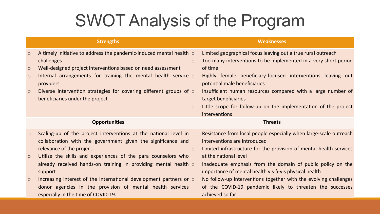### SWOT Analysis of the Program

|         | <b>Strengths</b>                                                                                            |          | <b>Weaknesses</b>                                                                           |
|---------|-------------------------------------------------------------------------------------------------------------|----------|---------------------------------------------------------------------------------------------|
| $\circ$ | A timely initiative to address the pandemic-induced mental health $\circ$                                   |          | Limited geographical focus leaving out a true rural outreach                                |
|         | challenges                                                                                                  | $\Omega$ | Too many interventions to be implemented in a very short period                             |
| $\circ$ | Well-designed project interventions based on need assessment                                                |          | of time                                                                                     |
| $\circ$ | Internal arrangements for training the mental health service $\circ$<br>providers                           |          | Highly female beneficiary-focused interventions leaving out<br>potential male beneficiaries |
| $\circ$ | Diverse intervention strategies for covering different groups of $\circ$<br>beneficiaries under the project |          | Insufficient human resources compared with a large number of<br>target beneficiaries        |
|         |                                                                                                             | $\circ$  | Little scope for follow-up on the implementation of the project<br>interventions            |
|         | <b>Opportunities</b>                                                                                        |          | <b>Threats</b>                                                                              |
| $\circ$ | Scaling-up of the project interventions at the national level in $\circ$                                    |          | Resistance from local people especially when large-scale outreach                           |
|         | collaboration with the government given the significance and                                                |          | interventions are introduced                                                                |
|         | relevance of the project                                                                                    | $\circ$  | Limited infrastructure for the provision of mental health services                          |
| $\circ$ | Utilize the skills and experiences of the para counselors who                                               |          | at the national level                                                                       |
|         | already received hands-on training in providing mental health $\circ$                                       |          | Inadequate emphasis from the domain of public policy on the                                 |
|         | support                                                                                                     |          | importance of mental health vis-à-vis physical health                                       |
| $\circ$ | Increasing interest of the international development partners or $\circ$                                    |          | No follow-up interventions together with the evolving challenges                            |
|         | donor agencies in the provision of mental health services                                                   |          | of the COVID-19 pandemic likely to threaten the successes                                   |
|         | especially in the time of COVID-19.                                                                         |          | achieved so far                                                                             |